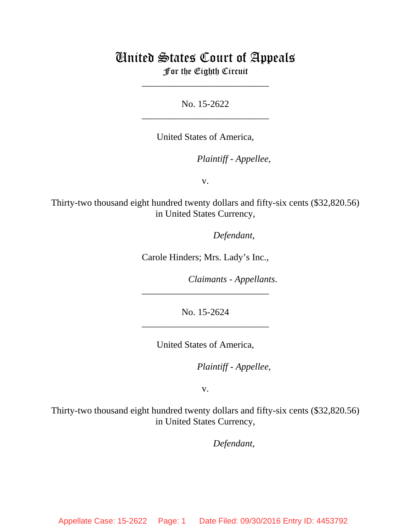# United States Court of Appeals For the Eighth Circuit

No. 15-2622 \_\_\_\_\_\_\_\_\_\_\_\_\_\_\_\_\_\_\_\_\_\_\_\_\_\_\_

\_\_\_\_\_\_\_\_\_\_\_\_\_\_\_\_\_\_\_\_\_\_\_\_\_\_\_

United States of America,

*Plaintiff - Appellee,* 

v.

Thirty-two thousand eight hundred twenty dollars and fifty-six cents (\$32,820.56) in United States Currency,

Defendant,

Carole Hinders; Mrs. Lady's Inc.,

*Claimants - Appellants.* 

No. 15-2624 \_\_\_\_\_\_\_\_\_\_\_\_\_\_\_\_\_\_\_\_\_\_\_\_\_\_\_

\_\_\_\_\_\_\_\_\_\_\_\_\_\_\_\_\_\_\_\_\_\_\_\_\_\_\_

United States of America,

*Plaintiff - Appellee,* 

v.

Thirty-two thousand eight hundred twenty dollars and fifty-six cents (\$32,820.56) in United States Currency,

Defendant,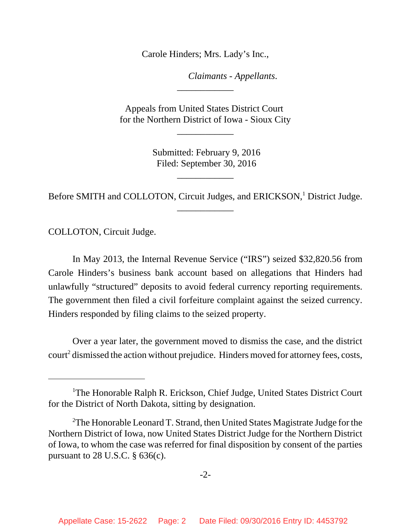Carole Hinders; Mrs. Lady's Inc.,

*Claimants - Appellants.* 

Appeals from United States District Court for the Northern District of Iowa - Sioux City

\_\_\_\_\_\_\_\_\_\_\_\_

\_\_\_\_\_\_\_\_\_\_\_\_

 Submitted: February 9, 2016 Filed: September 30, 2016

\_\_\_\_\_\_\_\_\_\_\_\_

Before SMITH and COLLOTON, Circuit Judges, and ERICKSON,<sup>1</sup> District Judge. \_\_\_\_\_\_\_\_\_\_\_\_

COLLOTON, Circuit Judge.

In May 2013, the Internal Revenue Service ("IRS") seized \$32,820.56 from Carole Hinders's business bank account based on allegations that Hinders had unlawfully "structured" deposits to avoid federal currency reporting requirements. The government then filed a civil forfeiture complaint against the seized currency. Hinders responded by filing claims to the seized property.

Over a year later, the government moved to dismiss the case, and the district court<sup>2</sup> dismissed the action without prejudice. Hinders moved for attorney fees, costs,

<sup>&</sup>lt;sup>1</sup>The Honorable Ralph R. Erickson, Chief Judge, United States District Court for the District of North Dakota, sitting by designation.

<sup>&</sup>lt;sup>2</sup>The Honorable Leonard T. Strand, then United States Magistrate Judge for the Northern District of Iowa, now United States District Judge for the Northern District of Iowa, to whom the case was referred for final disposition by consent of the parties pursuant to 28 U.S.C. § 636(c).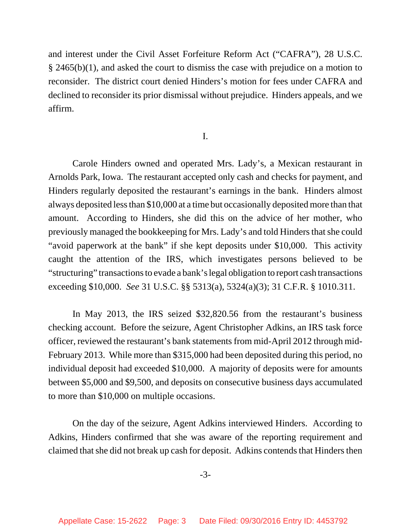and interest under the Civil Asset Forfeiture Reform Act ("CAFRA"), 28 U.S.C. § 2465(b)(1), and asked the court to dismiss the case with prejudice on a motion to reconsider. The district court denied Hinders's motion for fees under CAFRA and declined to reconsider its prior dismissal without prejudice. Hinders appeals, and we affirm.

## I.

Carole Hinders owned and operated Mrs. Lady's, a Mexican restaurant in Arnolds Park, Iowa. The restaurant accepted only cash and checks for payment, and Hinders regularly deposited the restaurant's earnings in the bank. Hinders almost always deposited less than \$10,000 at a time but occasionally deposited more than that amount. According to Hinders, she did this on the advice of her mother, who previously managed the bookkeeping for Mrs. Lady's and told Hinders that she could "avoid paperwork at the bank" if she kept deposits under \$10,000. This activity caught the attention of the IRS, which investigates persons believed to be "structuring" transactions to evade a bank's legal obligation to report cash transactions exceeding \$10,000. *See* 31 U.S.C. §§ 5313(a), 5324(a)(3); 31 C.F.R. § 1010.311.

In May 2013, the IRS seized \$32,820.56 from the restaurant's business checking account. Before the seizure, Agent Christopher Adkins, an IRS task force officer, reviewed the restaurant's bank statements from mid-April 2012 through mid-February 2013. While more than \$315,000 had been deposited during this period, no individual deposit had exceeded \$10,000. A majority of deposits were for amounts between \$5,000 and \$9,500, and deposits on consecutive business days accumulated to more than \$10,000 on multiple occasions.

On the day of the seizure, Agent Adkins interviewed Hinders. According to Adkins, Hinders confirmed that she was aware of the reporting requirement and claimed that she did not break up cash for deposit. Adkins contends that Hinders then

-3-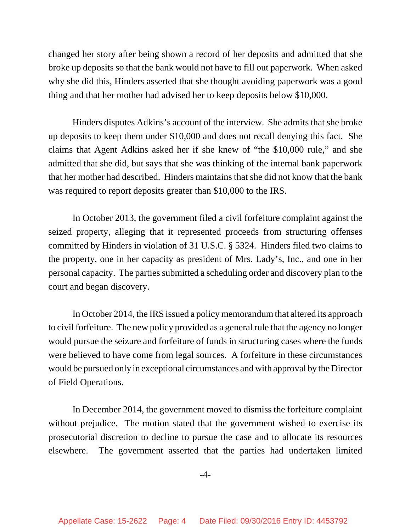changed her story after being shown a record of her deposits and admitted that she broke up deposits so that the bank would not have to fill out paperwork. When asked why she did this, Hinders asserted that she thought avoiding paperwork was a good thing and that her mother had advised her to keep deposits below \$10,000.

Hinders disputes Adkins's account of the interview. She admits that she broke up deposits to keep them under \$10,000 and does not recall denying this fact. She claims that Agent Adkins asked her if she knew of "the \$10,000 rule," and she admitted that she did, but says that she was thinking of the internal bank paperwork that her mother had described. Hinders maintains that she did not know that the bank was required to report deposits greater than \$10,000 to the IRS.

In October 2013, the government filed a civil forfeiture complaint against the seized property, alleging that it represented proceeds from structuring offenses committed by Hinders in violation of 31 U.S.C. § 5324. Hinders filed two claims to the property, one in her capacity as president of Mrs. Lady's, Inc., and one in her personal capacity. The parties submitted a scheduling order and discovery plan to the court and began discovery.

In October 2014, the IRS issued a policy memorandum that altered its approach to civil forfeiture. The new policy provided as a general rule that the agency no longer would pursue the seizure and forfeiture of funds in structuring cases where the funds were believed to have come from legal sources. A forfeiture in these circumstances would be pursued only in exceptional circumstances and with approval by the Director of Field Operations.

In December 2014, the government moved to dismiss the forfeiture complaint without prejudice. The motion stated that the government wished to exercise its prosecutorial discretion to decline to pursue the case and to allocate its resources elsewhere. The government asserted that the parties had undertaken limited

-4-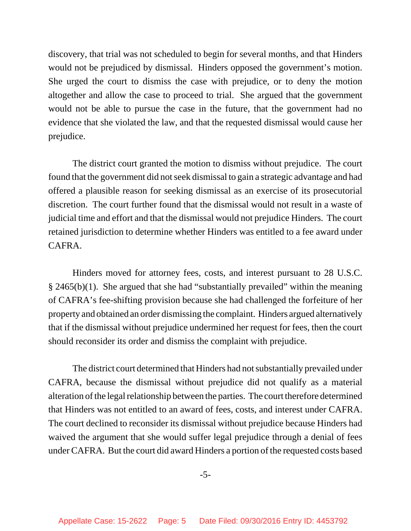discovery, that trial was not scheduled to begin for several months, and that Hinders would not be prejudiced by dismissal. Hinders opposed the government's motion. She urged the court to dismiss the case with prejudice, or to deny the motion altogether and allow the case to proceed to trial. She argued that the government would not be able to pursue the case in the future, that the government had no evidence that she violated the law, and that the requested dismissal would cause her prejudice.

The district court granted the motion to dismiss without prejudice. The court found that the government did not seek dismissal to gain a strategic advantage and had offered a plausible reason for seeking dismissal as an exercise of its prosecutorial discretion. The court further found that the dismissal would not result in a waste of judicial time and effort and that the dismissal would not prejudice Hinders. The court retained jurisdiction to determine whether Hinders was entitled to a fee award under CAFRA.

Hinders moved for attorney fees, costs, and interest pursuant to 28 U.S.C. § 2465(b)(1). She argued that she had "substantially prevailed" within the meaning of CAFRA's fee-shifting provision because she had challenged the forfeiture of her property and obtained an order dismissing the complaint. Hinders argued alternatively that if the dismissal without prejudice undermined her request for fees, then the court should reconsider its order and dismiss the complaint with prejudice.

The district court determined that Hinders had not substantially prevailed under CAFRA, because the dismissal without prejudice did not qualify as a material alteration of the legal relationship between the parties. The court therefore determined that Hinders was not entitled to an award of fees, costs, and interest under CAFRA. The court declined to reconsider its dismissal without prejudice because Hinders had waived the argument that she would suffer legal prejudice through a denial of fees under CAFRA. But the court did award Hinders a portion of the requested costs based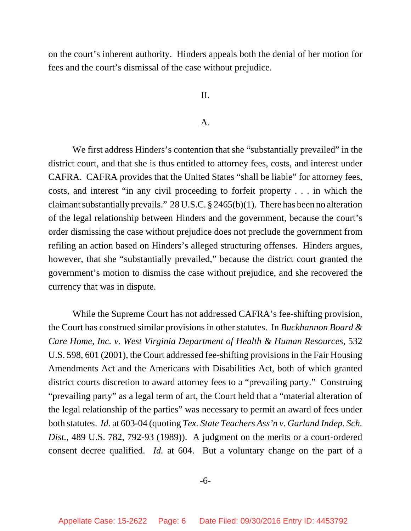on the court's inherent authority. Hinders appeals both the denial of her motion for fees and the court's dismissal of the case without prejudice.

### II.

#### A.

We first address Hinders's contention that she "substantially prevailed" in the district court, and that she is thus entitled to attorney fees, costs, and interest under CAFRA. CAFRA provides that the United States "shall be liable" for attorney fees, costs, and interest "in any civil proceeding to forfeit property . . . in which the claimant substantially prevails." 28 U.S.C. § 2465(b)(1). There has been no alteration of the legal relationship between Hinders and the government, because the court's order dismissing the case without prejudice does not preclude the government from refiling an action based on Hinders's alleged structuring offenses. Hinders argues, however, that she "substantially prevailed," because the district court granted the government's motion to dismiss the case without prejudice, and she recovered the currency that was in dispute.

While the Supreme Court has not addressed CAFRA's fee-shifting provision, the Court has construed similar provisions in other statutes. In *Buckhannon Board & Care Home, Inc. v. West Virginia Department of Health & Human Resources*, 532 U.S. 598, 601 (2001), the Court addressed fee-shifting provisions in the Fair Housing Amendments Act and the Americans with Disabilities Act, both of which granted district courts discretion to award attorney fees to a "prevailing party." Construing "prevailing party" as a legal term of art, the Court held that a "material alteration of the legal relationship of the parties" was necessary to permit an award of fees under both statutes. *Id.* at 603-04 (quoting *Tex. State Teachers Ass'n v. Garland Indep. Sch. Dist.*, 489 U.S. 782, 792-93 (1989)). A judgment on the merits or a court-ordered consent decree qualified. *Id.* at 604. But a voluntary change on the part of a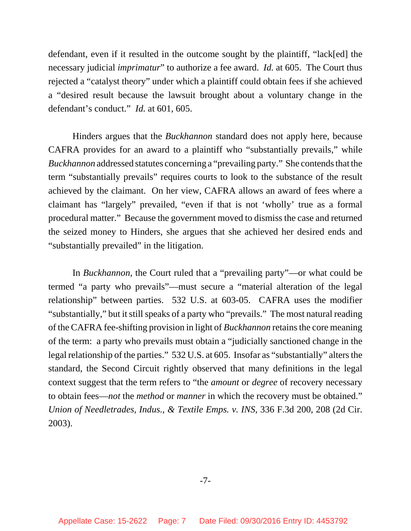defendant, even if it resulted in the outcome sought by the plaintiff, "lack[ed] the necessary judicial *imprimatur*" to authorize a fee award. *Id.* at 605. The Court thus rejected a "catalyst theory" under which a plaintiff could obtain fees if she achieved a "desired result because the lawsuit brought about a voluntary change in the defendant's conduct." *Id.* at 601, 605.

Hinders argues that the *Buckhannon* standard does not apply here, because CAFRA provides for an award to a plaintiff who "substantially prevails," while *Buckhannon* addressed statutes concerning a "prevailing party." She contends that the term "substantially prevails" requires courts to look to the substance of the result achieved by the claimant. On her view, CAFRA allows an award of fees where a claimant has "largely" prevailed, "even if that is not 'wholly' true as a formal procedural matter." Because the government moved to dismiss the case and returned the seized money to Hinders, she argues that she achieved her desired ends and "substantially prevailed" in the litigation.

In *Buckhannon*, the Court ruled that a "prevailing party"—or what could be termed "a party who prevails"—must secure a "material alteration of the legal relationship" between parties. 532 U.S. at 603-05. CAFRA uses the modifier "substantially," but it still speaks of a party who "prevails." The most natural reading of the CAFRA fee-shifting provision in light of *Buckhannon* retains the core meaning of the term: a party who prevails must obtain a "judicially sanctioned change in the legal relationship of the parties." 532 U.S. at 605. Insofar as "substantially" alters the standard, the Second Circuit rightly observed that many definitions in the legal context suggest that the term refers to "the *amount* or *degree* of recovery necessary to obtain fees—*not* the *method* or *manner* in which the recovery must be obtained." *Union of Needletrades, Indus., & Textile Emps. v. INS*, 336 F.3d 200, 208 (2d Cir. 2003).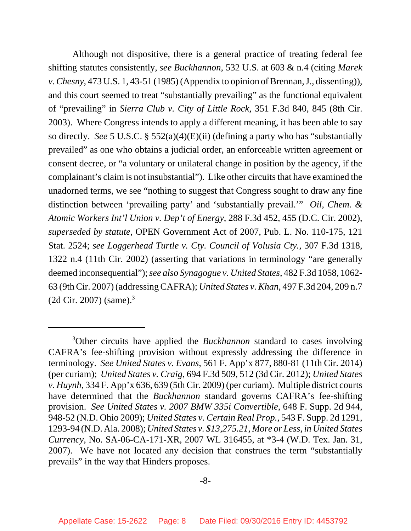Although not dispositive, there is a general practice of treating federal fee shifting statutes consistently, *see Buckhannon*, 532 U.S. at 603 & n.4 (citing *Marek v. Chesny*, 473 U.S. 1, 43-51 (1985) (Appendix to opinion of Brennan, J., dissenting)), and this court seemed to treat "substantially prevailing" as the functional equivalent of "prevailing" in *Sierra Club v. City of Little Rock*, 351 F.3d 840, 845 (8th Cir. 2003). Where Congress intends to apply a different meaning, it has been able to say so directly. *See* 5 U.S.C. § 552(a)(4)(E)(ii) (defining a party who has "substantially prevailed" as one who obtains a judicial order, an enforceable written agreement or consent decree, or "a voluntary or unilateral change in position by the agency, if the complainant's claim is not insubstantial"). Like other circuits that have examined the unadorned terms, we see "nothing to suggest that Congress sought to draw any fine distinction between 'prevailing party' and 'substantially prevail.'" *Oil, Chem. & Atomic Workers Int'l Union v. Dep't of Energy*, 288 F.3d 452, 455 (D.C. Cir. 2002), *superseded by statute*, OPEN Government Act of 2007, Pub. L. No. 110-175, 121 Stat. 2524; *see Loggerhead Turtle v. Cty. Council of Volusia Cty.*, 307 F.3d 1318, 1322 n.4 (11th Cir. 2002) (asserting that variations in terminology "are generally deemed inconsequential"); *see also Synagogue v. United States*, 482 F.3d 1058, 1062- 63 (9th Cir. 2007) (addressing CAFRA); *United States v. Khan*, 497 F.3d 204, 209 n.7  $(2d$  Cir. 2007) (same).<sup>3</sup>

<sup>3</sup> Other circuits have applied the *Buckhannon* standard to cases involving CAFRA's fee-shifting provision without expressly addressing the difference in terminology. *See United States v. Evans*, 561 F. App'x 877, 880-81 (11th Cir. 2014) (per curiam); *United States v. Craig*, 694 F.3d 509, 512 (3d Cir. 2012); *United States v. Huynh*, 334 F. App'x 636, 639 (5th Cir. 2009) (per curiam). Multiple district courts have determined that the *Buckhannon* standard governs CAFRA's fee-shifting provision. *See United States v. 2007 BMW 335i Convertible*, 648 F. Supp. 2d 944, 948-52 (N.D. Ohio 2009); *United States v. Certain Real Prop.*, 543 F. Supp. 2d 1291, 1293-94 (N.D. Ala. 2008); *United States v. \$13,275.21, More or Less, in United States Currency*, No. SA-06-CA-171-XR, 2007 WL 316455, at \*3-4 (W.D. Tex. Jan. 31, 2007). We have not located any decision that construes the term "substantially prevails" in the way that Hinders proposes.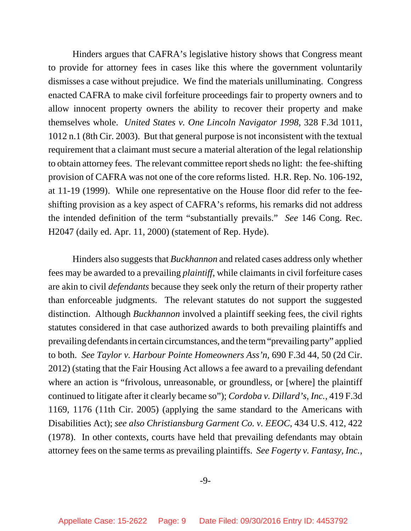Hinders argues that CAFRA's legislative history shows that Congress meant to provide for attorney fees in cases like this where the government voluntarily dismisses a case without prejudice. We find the materials unilluminating. Congress enacted CAFRA to make civil forfeiture proceedings fair to property owners and to allow innocent property owners the ability to recover their property and make themselves whole. *United States v. One Lincoln Navigator 1998*, 328 F.3d 1011, 1012 n.1 (8th Cir. 2003). But that general purpose is not inconsistent with the textual requirement that a claimant must secure a material alteration of the legal relationship to obtain attorney fees. The relevant committee report sheds no light: the fee-shifting provision of CAFRA was not one of the core reforms listed. H.R. Rep. No. 106-192, at 11-19 (1999). While one representative on the House floor did refer to the feeshifting provision as a key aspect of CAFRA's reforms, his remarks did not address the intended definition of the term "substantially prevails." *See* 146 Cong. Rec. H2047 (daily ed. Apr. 11, 2000) (statement of Rep. Hyde).

Hinders also suggests that *Buckhannon* and related cases address only whether fees may be awarded to a prevailing *plaintiff*, while claimants in civil forfeiture cases are akin to civil *defendants* because they seek only the return of their property rather than enforceable judgments. The relevant statutes do not support the suggested distinction. Although *Buckhannon* involved a plaintiff seeking fees, the civil rights statutes considered in that case authorized awards to both prevailing plaintiffs and prevailing defendants in certain circumstances, and the term "prevailing party" applied to both. *See Taylor v. Harbour Pointe Homeowners Ass'n*, 690 F.3d 44, 50 (2d Cir. 2012) (stating that the Fair Housing Act allows a fee award to a prevailing defendant where an action is "frivolous, unreasonable, or groundless, or [where] the plaintiff continued to litigate after it clearly became so"); *Cordoba v. Dillard's, Inc.*, 419 F.3d 1169, 1176 (11th Cir. 2005) (applying the same standard to the Americans with Disabilities Act); *see also Christiansburg Garment Co. v. EEOC*, 434 U.S. 412, 422 (1978). In other contexts, courts have held that prevailing defendants may obtain attorney fees on the same terms as prevailing plaintiffs. *See Fogerty v. Fantasy, Inc.*,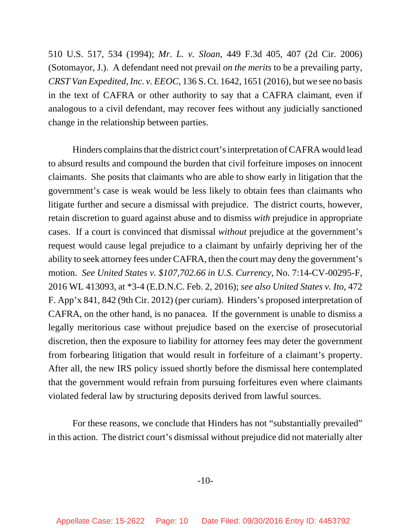510 U.S. 517, 534 (1994); *Mr. L. v. Sloan*, 449 F.3d 405, 407 (2d Cir. 2006) (Sotomayor, J.). A defendant need not prevail *on the merits* to be a prevailing party, *CRST Van Expedited, Inc. v. EEOC*, 136 S. Ct. 1642, 1651 (2016), but we see no basis in the text of CAFRA or other authority to say that a CAFRA claimant, even if analogous to a civil defendant, may recover fees without any judicially sanctioned change in the relationship between parties.

Hinders complains that the district court's interpretation of CAFRA would lead to absurd results and compound the burden that civil forfeiture imposes on innocent claimants. She posits that claimants who are able to show early in litigation that the government's case is weak would be less likely to obtain fees than claimants who litigate further and secure a dismissal with prejudice. The district courts, however, retain discretion to guard against abuse and to dismiss *with* prejudice in appropriate cases. If a court is convinced that dismissal *without* prejudice at the government's request would cause legal prejudice to a claimant by unfairly depriving her of the ability to seek attorney fees under CAFRA, then the court may deny the government's motion. *See United States v. \$107,702.66 in U.S. Currency*, No. 7:14-CV-00295-F, 2016 WL 413093, at \*3-4 (E.D.N.C. Feb. 2, 2016); *see also United States v. Ito*, 472 F. App'x 841, 842 (9th Cir. 2012) (per curiam). Hinders's proposed interpretation of CAFRA, on the other hand, is no panacea. If the government is unable to dismiss a legally meritorious case without prejudice based on the exercise of prosecutorial discretion, then the exposure to liability for attorney fees may deter the government from forbearing litigation that would result in forfeiture of a claimant's property. After all, the new IRS policy issued shortly before the dismissal here contemplated that the government would refrain from pursuing forfeitures even where claimants violated federal law by structuring deposits derived from lawful sources.

For these reasons, we conclude that Hinders has not "substantially prevailed" in this action. The district court's dismissal without prejudice did not materially alter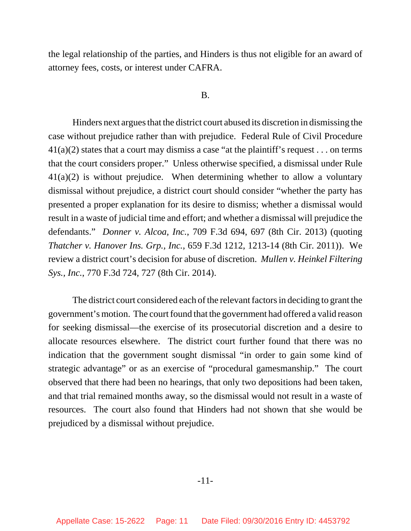the legal relationship of the parties, and Hinders is thus not eligible for an award of attorney fees, costs, or interest under CAFRA.

#### B.

Hinders next argues that the district court abused its discretion in dismissing the case without prejudice rather than with prejudice. Federal Rule of Civil Procedure  $41(a)(2)$  states that a court may dismiss a case "at the plaintiff's request . . . on terms that the court considers proper." Unless otherwise specified, a dismissal under Rule  $41(a)(2)$  is without prejudice. When determining whether to allow a voluntary dismissal without prejudice, a district court should consider "whether the party has presented a proper explanation for its desire to dismiss; whether a dismissal would result in a waste of judicial time and effort; and whether a dismissal will prejudice the defendants." *Donner v. Alcoa, Inc.*, 709 F.3d 694, 697 (8th Cir. 2013) (quoting *Thatcher v. Hanover Ins. Grp., Inc.*, 659 F.3d 1212, 1213-14 (8th Cir. 2011)). We review a district court's decision for abuse of discretion. *Mullen v. Heinkel Filtering Sys., Inc.*, 770 F.3d 724, 727 (8th Cir. 2014).

The district court considered each of the relevant factors in deciding to grant the government's motion. The court found that the government had offered a valid reason for seeking dismissal—the exercise of its prosecutorial discretion and a desire to allocate resources elsewhere. The district court further found that there was no indication that the government sought dismissal "in order to gain some kind of strategic advantage" or as an exercise of "procedural gamesmanship." The court observed that there had been no hearings, that only two depositions had been taken, and that trial remained months away, so the dismissal would not result in a waste of resources. The court also found that Hinders had not shown that she would be prejudiced by a dismissal without prejudice.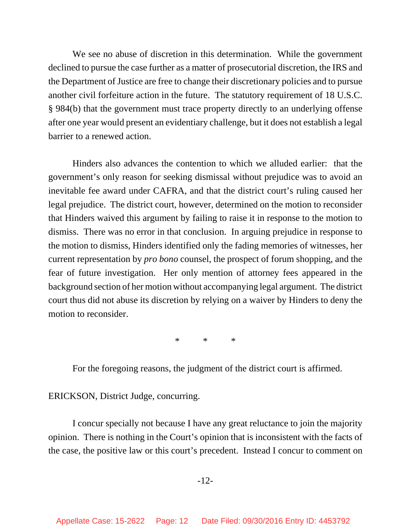We see no abuse of discretion in this determination. While the government declined to pursue the case further as a matter of prosecutorial discretion, the IRS and the Department of Justice are free to change their discretionary policies and to pursue another civil forfeiture action in the future. The statutory requirement of 18 U.S.C. § 984(b) that the government must trace property directly to an underlying offense after one year would present an evidentiary challenge, but it does not establish a legal barrier to a renewed action.

Hinders also advances the contention to which we alluded earlier: that the government's only reason for seeking dismissal without prejudice was to avoid an inevitable fee award under CAFRA, and that the district court's ruling caused her legal prejudice. The district court, however, determined on the motion to reconsider that Hinders waived this argument by failing to raise it in response to the motion to dismiss. There was no error in that conclusion. In arguing prejudice in response to the motion to dismiss, Hinders identified only the fading memories of witnesses, her current representation by *pro bono* counsel, the prospect of forum shopping, and the fear of future investigation. Her only mention of attorney fees appeared in the background section of her motion without accompanying legal argument. The district court thus did not abuse its discretion by relying on a waiver by Hinders to deny the motion to reconsider.

\* \* \*

For the foregoing reasons, the judgment of the district court is affirmed.

ERICKSON, District Judge, concurring.

I concur specially not because I have any great reluctance to join the majority opinion. There is nothing in the Court's opinion that is inconsistent with the facts of the case, the positive law or this court's precedent. Instead I concur to comment on

-12-